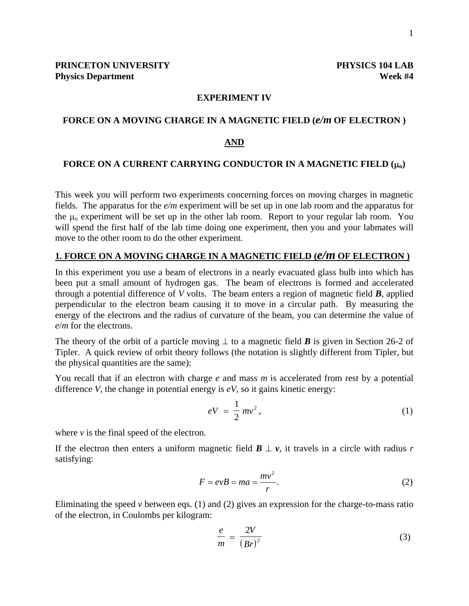### **EXPERIMENT IV**

#### **FORCE ON A MOVING CHARGE IN A MAGNETIC FIELD (***e/m* **OF ELECTRON )**

#### **AND**

## **FORCE ON A CURRENT CARRYING CONDUCTOR IN A MAGNETIC FIELD (**µ**o)**

This week you will perform two experiments concerning forces on moving charges in magnetic fields. The apparatus for the *e/m* experiment will be set up in one lab room and the apparatus for the  $\mu_0$  experiment will be set up in the other lab room. Report to your regular lab room. You will spend the first half of the lab time doing one experiment, then you and your labmates will move to the other room to do the other experiment.

# **1. FORCE ON A MOVING CHARGE IN A MAGNETIC FIELD (***e/m* **OF ELECTRON )**

In this experiment you use a beam of electrons in a nearly evacuated glass bulb into which has been put a small amount of hydrogen gas. The beam of electrons is formed and accelerated through a potential difference of *V* volts. The beam enters a region of magnetic field *B*, applied perpendicular to the electron beam causing it to move in a circular path. By measuring the energy of the electrons and the radius of curvature of the beam, you can determine the value of *e*/*m* for the electrons.

The theory of the orbit of a particle moving  $\perp$  to a magnetic field *B* is given in Section 26-2 of Tipler. A quick review of orbit theory follows (the notation is slightly different from Tipler, but the physical quantities are the same):

You recall that if an electron with charge *e* and mass *m* is accelerated from rest by a potential difference *V*, the change in potential energy is  $eV$ , so it gains kinetic energy:

$$
eV = \frac{1}{2}mv^2, \qquad (1)
$$

where  $\nu$  is the final speed of the electron.

If the electron then enters a uniform magnetic field  $\mathbf{B} \perp \mathbf{v}$ , it travels in a circle with radius *r* satisfying:

$$
F = evB = ma = \frac{mv^2}{r}.
$$
 (2)

Eliminating the speed *v* between eqs. (1) and (2) gives an expression for the charge-to-mass ratio of the electron, in Coulombs per kilogram:

$$
\frac{e}{m} = \frac{2V}{(Br)^2} \tag{3}
$$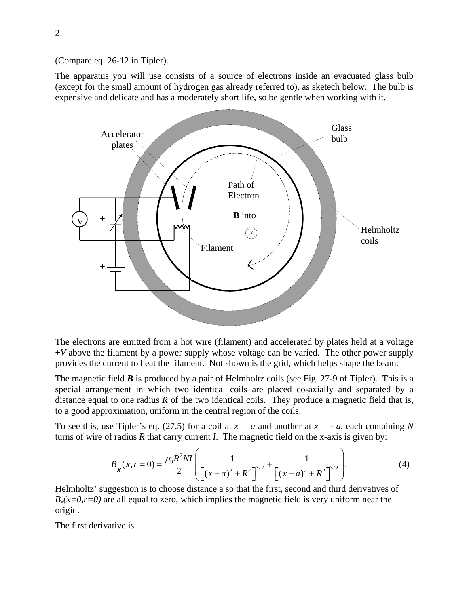(Compare eq. 26-12 in Tipler).

The apparatus you will use consists of a source of electrons inside an evacuated glass bulb (except for the small amount of hydrogen gas already referred to), as sketech below. The bulb is expensive and delicate and has a moderately short life, so be gentle when working with it.



The electrons are emitted from a hot wire (filament) and accelerated by plates held at a voltage  $+V$  above the filament by a power supply whose voltage can be varied. The other power supply provides the current to heat the filament. Not shown is the grid, which helps shape the beam.

The magnetic field *B* is produced by a pair of Helmholtz coils (see Fig. 27-9 of Tipler). This is a special arrangement in which two identical coils are placed co-axially and separated by a distance equal to one radius  $R$  of the two identical coils. They produce a magnetic field that is, to a good approximation, uniform in the central region of the coils.

To see this, use Tipler's eq. (27.5) for a coil at  $x = a$  and another at  $x = -a$ , each containing N turns of wire of radius *R* that carry current *I*. The magnetic field on the x-axis is given by:

$$
B_x(x, r = 0) = \frac{\mu_0 R^2 NI}{2} \left( \frac{1}{\left[ (x + a)^2 + R^2 \right]^{3/2}} + \frac{1}{\left[ (x - a)^2 + R^2 \right]^{3/2}} \right).
$$
 (4)

Helmholtz' suggestion is to choose distance a so that the first, second and third derivatives of  $B_x(x=0, r=0)$  are all equal to zero, which implies the magnetic field is very uniform near the origin.

The first derivative is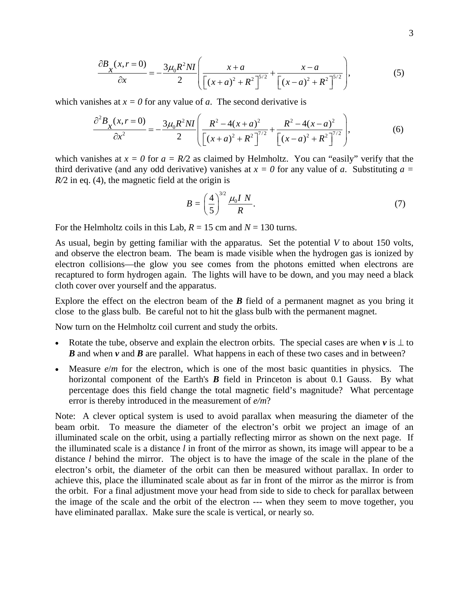$$
\frac{\partial B_x(x, r=0)}{\partial x} = -\frac{3\mu_0 R^2 N I}{2} \left( \frac{x+a}{\left[ (x+a)^2 + R^2 \right]^{5/2}} + \frac{x-a}{\left[ (x-a)^2 + R^2 \right]^{5/2}} \right),\tag{5}
$$

which vanishes at  $x = 0$  for any value of *a*. The second derivative is

$$
\frac{\partial^2 B_x(x, r=0)}{\partial x^2} = -\frac{3\mu_0 R^2 NI}{2} \left( \frac{R^2 - 4(x+a)^2}{\left[ (x+a)^2 + R^2 \right]^{7/2}} + \frac{R^2 - 4(x-a)^2}{\left[ (x-a)^2 + R^2 \right]^{7/2}} \right),\tag{6}
$$

which vanishes at  $x = 0$  for  $a = R/2$  as claimed by Helmholtz. You can "easily" verify that the third derivative (and any odd derivative) vanishes at  $x = 0$  for any value of *a*. Substituting  $a =$ *R*/2 in eq. (4), the magnetic field at the origin is

$$
B = \left(\frac{4}{5}\right)^{3/2} \frac{\mu_0 I N}{R}.\tag{7}
$$

For the Helmholtz coils in this Lab,  $R = 15$  cm and  $N = 130$  turns.

As usual, begin by getting familiar with the apparatus. Set the potential *V* to about 150 volts, and observe the electron beam. The beam is made visible when the hydrogen gas is ionized by electron collisions—the glow you see comes from the photons emitted when electrons are recaptured to form hydrogen again. The lights will have to be down, and you may need a black cloth cover over yourself and the apparatus.

Explore the effect on the electron beam of the *B* field of a permanent magnet as you bring it close to the glass bulb. Be careful not to hit the glass bulb with the permanent magnet.

Now turn on the Helmholtz coil current and study the orbits.

- Rotate the tube, observe and explain the electron orbits. The special cases are when  $v$  is  $\perp$  to *B* and when *v* and *B* are parallel. What happens in each of these two cases and in between?
- Measure  $e/m$  for the electron, which is one of the most basic quantities in physics. The horizontal component of the Earth's **B** field in Princeton is about 0.1 Gauss. By what percentage does this field change the total magnetic field's magnitude? What percentage error is thereby introduced in the measurement of *e/m*?

Note: A clever optical system is used to avoid parallax when measuring the diameter of the beam orbit. To measure the diameter of the electron's orbit we project an image of an illuminated scale on the orbit, using a partially reflecting mirror as shown on the next page. If the illuminated scale is a distance *l* in front of the mirror as shown, its image will appear to be a distance *l* behind the mirror. The object is to have the image of the scale in the plane of the electron's orbit, the diameter of the orbit can then be measured without parallax. In order to achieve this, place the illuminated scale about as far in front of the mirror as the mirror is from the orbit. For a final adjustment move your head from side to side to check for parallax between the image of the scale and the orbit of the electron --- when they seem to move together, you have eliminated parallax. Make sure the scale is vertical, or nearly so.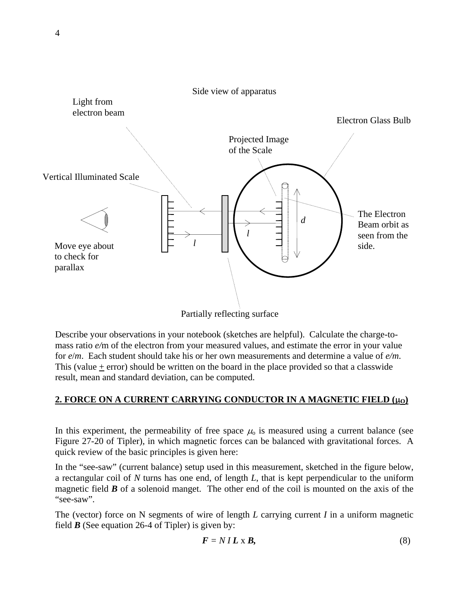

Describe your observations in your notebook (sketches are helpful). Calculate the charge-tomass ratio *e/*m of the electron from your measured values, and estimate the error in your value for *e*/*m*. Each student should take his or her own measurements and determine a value of *e/m*. This (value + error) should be written on the board in the place provided so that a classwide result, mean and standard deviation, can be computed.

# **2. FORCE ON A CURRENT CARRYING CONDUCTOR IN A MAGNETIC FIELD (μο)**

In this experiment, the permeability of free space  $\mu_0$  is measured using a current balance (see Figure 27-20 of Tipler), in which magnetic forces can be balanced with gravitational forces. A quick review of the basic principles is given here:

In the "see-saw" (current balance) setup used in this measurement, sketched in the figure below, a rectangular coil of *N* turns has one end, of length *L*, that is kept perpendicular to the uniform magnetic field  $\bm{B}$  of a solenoid manget. The other end of the coil is mounted on the axis of the "see-saw".

The (vector) force on N segments of wire of length *L* carrying current *I* in a uniform magnetic field  $\bm{B}$  (See equation 26-4 of Tipler) is given by:

$$
F = NIL \times B,\tag{8}
$$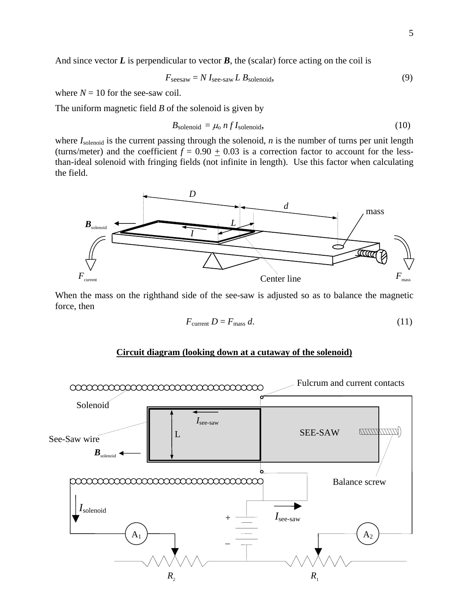And since vector  $L$  is perpendicular to vector  $B$ , the (scalar) force acting on the coil is

$$
F_{\text{seesaw}} = N I_{\text{see-saw}} L B_{\text{solenoid}},\tag{9}
$$

where  $N = 10$  for the see-saw coil.

The uniform magnetic field *B* of the solenoid is given by

$$
B_{\text{solenoid}} = \mu_0 n f I_{\text{solenoid}},\tag{10}
$$

where  $I_{\text{solenoid}}$  is the current passing through the solenoid, *n* is the number of turns per unit length (turns/meter) and the coefficient  $f = 0.90 + 0.03$  is a correction factor to account for the lessthan-ideal solenoid with fringing fields (not infinite in length). Use this factor when calculating the field.



When the mass on the righthand side of the see-saw is adjusted so as to balance the magnetic force, then

$$
F_{\text{current}} D = F_{\text{mass}} d. \tag{11}
$$

### **Circuit diagram (looking down at a cutaway of the solenoid)**

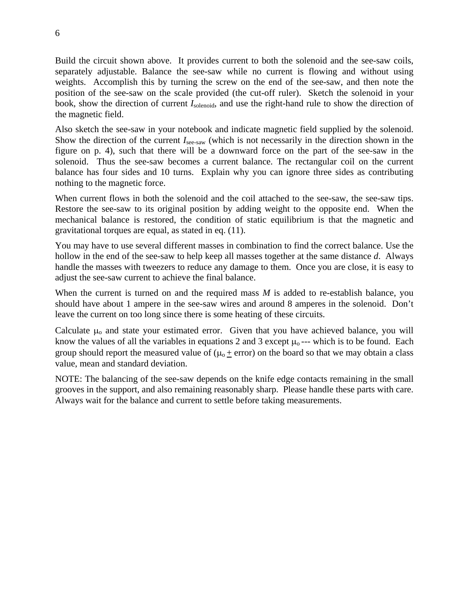Build the circuit shown above. It provides current to both the solenoid and the see-saw coils, separately adjustable. Balance the see-saw while no current is flowing and without using weights. Accomplish this by turning the screw on the end of the see-saw, and then note the position of the see-saw on the scale provided (the cut-off ruler). Sketch the solenoid in your book, show the direction of current *I*solenoid, and use the right-hand rule to show the direction of the magnetic field.

Also sketch the see-saw in your notebook and indicate magnetic field supplied by the solenoid. Show the direction of the current *I*<sub>see-saw</sub> (which is not necessarily in the direction shown in the figure on p. 4), such that there will be a downward force on the part of the see-saw in the solenoid. Thus the see-saw becomes a current balance. The rectangular coil on the current balance has four sides and 10 turns. Explain why you can ignore three sides as contributing nothing to the magnetic force.

When current flows in both the solenoid and the coil attached to the see-saw, the see-saw tips. Restore the see-saw to its original position by adding weight to the opposite end. When the mechanical balance is restored, the condition of static equilibrium is that the magnetic and gravitational torques are equal, as stated in eq. (11).

You may have to use several different masses in combination to find the correct balance. Use the hollow in the end of the see-saw to help keep all masses together at the same distance *d*. Always handle the masses with tweezers to reduce any damage to them. Once you are close, it is easy to adjust the see-saw current to achieve the final balance.

When the current is turned on and the required mass *M* is added to re-establish balance, you should have about 1 ampere in the see-saw wires and around 8 amperes in the solenoid. Don't leave the current on too long since there is some heating of these circuits.

Calculate  $\mu_0$  and state your estimated error. Given that you have achieved balance, you will know the values of all the variables in equations 2 and 3 except  $\mu_0$ --- which is to be found. Each group should report the measured value of  $(\mu_0 + error)$  on the board so that we may obtain a class value, mean and standard deviation.

NOTE: The balancing of the see-saw depends on the knife edge contacts remaining in the small grooves in the support, and also remaining reasonably sharp. Please handle these parts with care. Always wait for the balance and current to settle before taking measurements.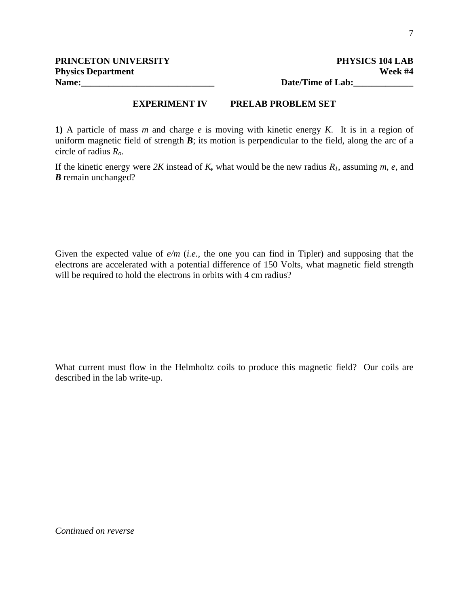**Name:\_\_\_\_\_\_\_\_\_\_\_\_\_\_\_\_\_\_\_\_\_\_\_\_\_\_\_\_\_ Date/Time of Lab:\_\_\_\_\_\_\_\_\_\_\_\_\_** 

## **EXPERIMENT IV PRELAB PROBLEM SET**

**1)** A particle of mass *m* and charge *e* is moving with kinetic energy *K*. It is in a region of uniform magnetic field of strength  $\vec{B}$ ; its motion is perpendicular to the field, along the arc of a circle of radius *Ro*.

If the kinetic energy were *2K* instead of *K,* what would be the new radius *R1*, assuming *m*, *e*, and *B* remain unchanged?

Given the expected value of *e/m* (*i.e.,* the one you can find in Tipler) and supposing that the electrons are accelerated with a potential difference of 150 Volts, what magnetic field strength will be required to hold the electrons in orbits with 4 cm radius?

What current must flow in the Helmholtz coils to produce this magnetic field? Our coils are described in the lab write-up.

*Continued on reverse*